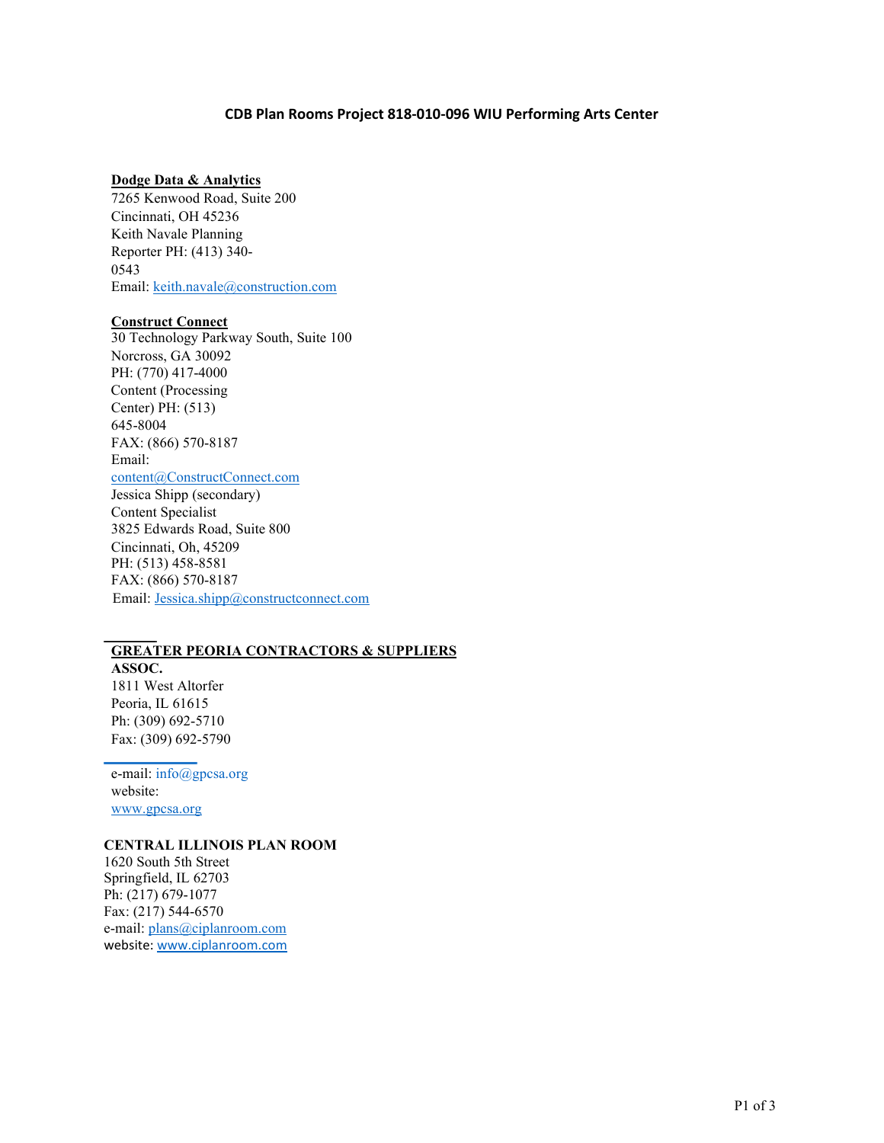## **CDB Plan Rooms Project 818-010-096 WIU Performing Arts Center**

#### **Dodge Data & Analytics**

7265 Kenwood Road, Suite 200 Cincinnati, OH 45236 Keith Navale Planning Reporter PH: (413) 340- 0543 Email: [keith.navale@construction.com](mailto:keith.navale@construction.com)

### **Construct Connect**

30 Technology Parkway South, Suite 100 Norcross, GA 30092 PH: (770) 417-4000 Content (Processing Center) PH: (513) 645-8004 FAX: (866) 570-8187 Email: [content@ConstructConnect.com](mailto:content@ConstructConnect.com) Jessica Shipp (secondary) Content Specialist 3825 Edwards Road, Suite 800 Cincinnati, Oh, 45209

PH: (513) 458-8581 FAX: (866) 570-8187 Email: [Jessica.shipp@constructconnect.com](mailto:Jessica.shipp@constructconnect.com)

# **GREATER PEORIA CONTRACTORS & SUPPLIERS**

**ASSOC.** 1811 West Altorfer Peoria, IL 61615 Ph: (309) 692-5710 Fax: (309) 692-5790

e-mail: [info@gpcsa.org](mailto:info@gpcsa.org) website[:](http://www.gpcsa.org/) [www.gpcsa.org](http://www.gpcsa.org/)

## **CENTRAL ILLINOIS PLAN ROOM**

1620 South 5th Street Springfield, IL 62703 Ph: (217) 679-1077 Fax: (217) 544-6570 e-mail: [plans@ciplanroom.com](mailto:plans@ciplanroom.com) website: [www.ciplanroom.com](http://www.ciplanroom.com/)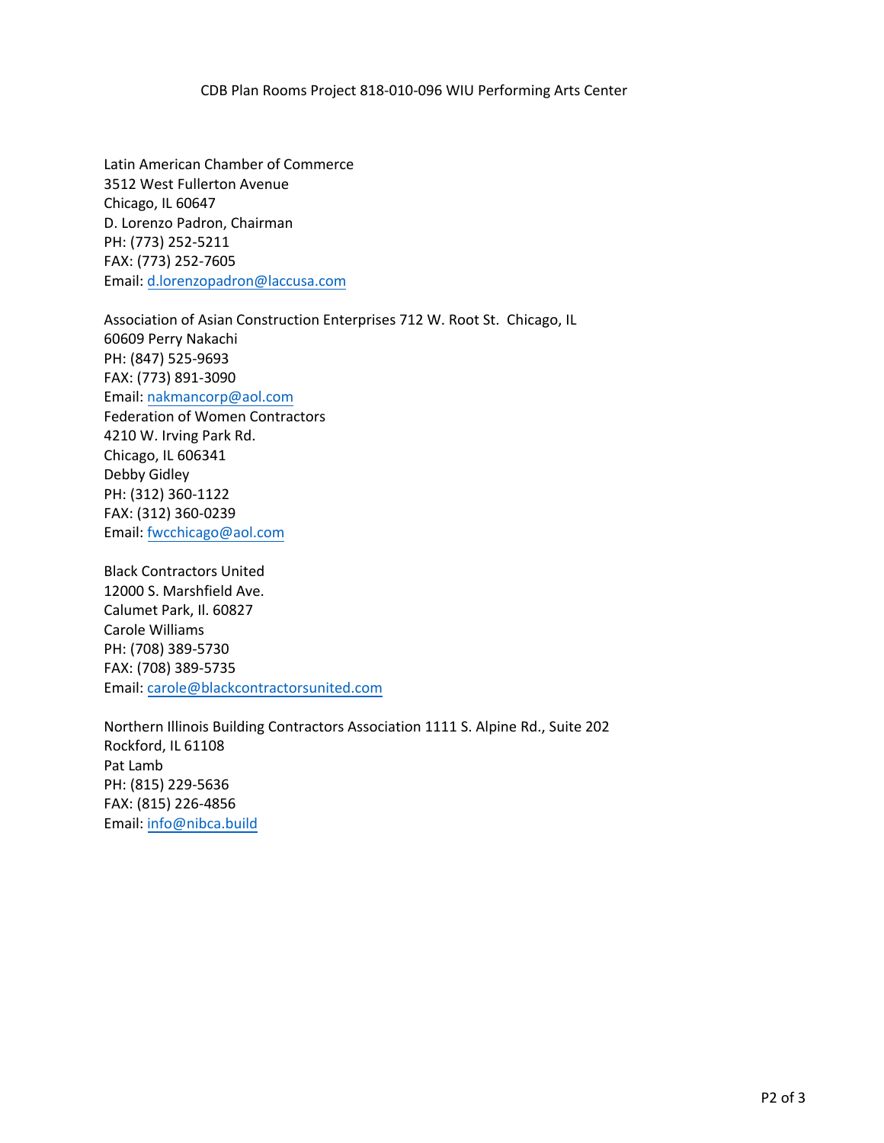CDB Plan Rooms Project 818-010-096 WIU Performing Arts Center

Latin American Chamber of Commerce 3512 West Fullerton Avenue Chicago, IL 60647 D. Lore[nzo Padron, Chairman](mailto:sandym@michelmann.us) PH: (773) 252-5211 FAX: (773) 252-7605 Email: d.lorenzopadron@laccusa.com

Association of Asian Construction Enterprises 712 W. Root St. Chicago, IL 60609 Perry Nakachi PH: (847) 525-9693 FAX: (773) 891-3090 Email: [nakmancorp@aol.com](mailto:d.lorenzopadron@laccusa.com) Federation of Women Contractors 4210 W. Irving Park Rd. Chicago, IL 606341 Debby Gidley PH: (312) 360-1122 FAX: ([312\) 360-0239](mailto:nakmancorp@aol.com)  Email: fwcchicago@aol.com

Black Contractors United 12000 S. Marshfield Ave. Calumet Park, Il. 60827 Carole Williams PH: (7[08\) 389-5730](mailto:fwcchicago@aol.com)  FAX: (708) 389-5735 Email: carole@blackcontractorsunited.com

Northern Illinois Building Contractors Association 1111 S. Alpine Rd., Suite 202 Rockford, IL 61108 Pat Lamb PH: (815) 229-5636 FAX: ([815\) 226-4856](mailto:carole@blackcontractorsunited.com)  Email: info@nibca.build